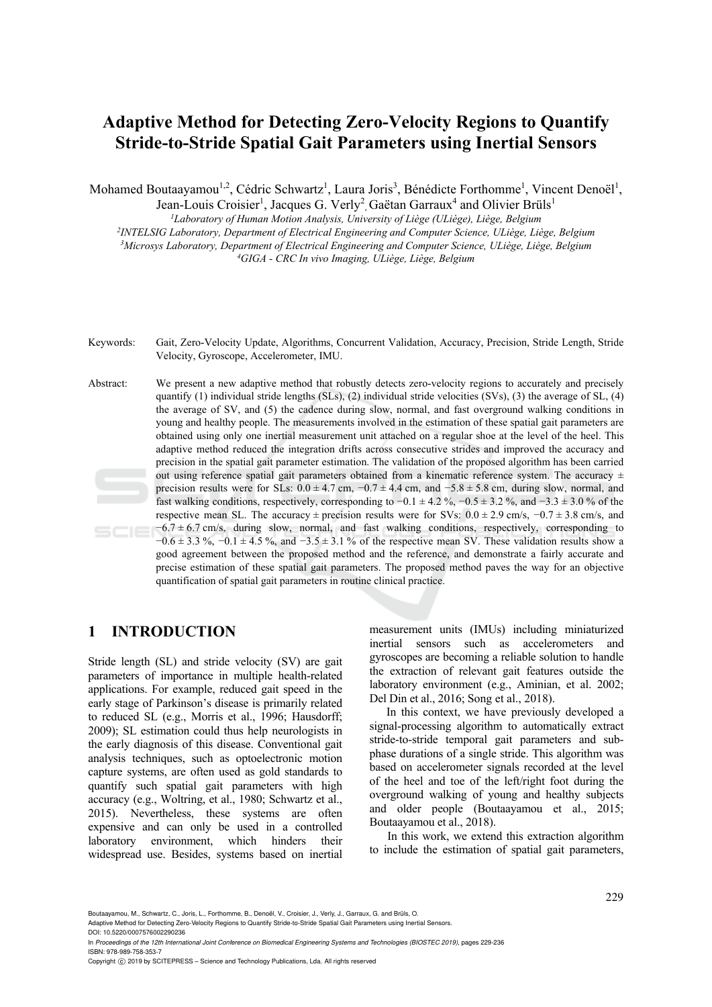# **Adaptive Method for Detecting Zero-Velocity Regions to Quantify Stride-to-Stride Spatial Gait Parameters using Inertial Sensors**

Mohamed Boutaayamou<sup>1,2</sup>, Cédric Schwartz<sup>1</sup>, Laura Joris<sup>3</sup>, Bénédicte Forthomme<sup>1</sup>, Vincent Denoël<sup>1</sup>,

Jean-Louis Croisier<sup>1</sup>, Jacques G. Verly<sup>2</sup>, Gaëtan Garraux<sup>4</sup> and Olivier Brüls<sup>1</sup>

*1Laboratory of Human Motion Analysis, University of Liège (ULiège), Liège, Belgium* <sup>2</sup>INTELSIG Laboratory, Department of Electrical Engineering and Computer Science, ULiège, Liège, Belgium <sup>3</sup>Microsys Laboratory, Department of Electrical Engineering and Computer Science, ULiège, Liège, Belgium<br><sup>4</sup>GIGA - CRC In vivo Imaging, ULiège, Liège, Belgium

Keywords: Gait, Zero-Velocity Update, Algorithms, Concurrent Validation, Accuracy, Precision, Stride Length, Stride Velocity, Gyroscope, Accelerometer, IMU.

Abstract: We present a new adaptive method that robustly detects zero-velocity regions to accurately and precisely quantify (1) individual stride lengths (SLs), (2) individual stride velocities (SVs), (3) the average of SL,  $(4)$ the average of SV, and (5) the cadence during slow, normal, and fast overground walking conditions in young and healthy people. The measurements involved in the estimation of these spatial gait parameters are obtained using only one inertial measurement unit attached on a regular shoe at the level of the heel. This adaptive method reduced the integration drifts across consecutive strides and improved the accuracy and precision in the spatial gait parameter estimation. The validation of the proposed algorithm has been carried out using reference spatial gait parameters obtained from a kinematic reference system. The accuracy  $\pm$ precision results were for SLs:  $0.0 \pm 4.7$  cm,  $-0.7 \pm 4.4$  cm, and  $-5.8 \pm 5.8$  cm, during slow, normal, and fast walking conditions, respectively, corresponding to  $-0.1 \pm 4.2$  %,  $-0.5 \pm 3.2$  %, and  $-3.3 \pm 3.0$  % of the respective mean SL. The accuracy ± precision results were for SVs:  $0.0 \pm 2.9$  cm/s,  $-0.7 \pm 3.8$  cm/s, and  $-6.7 \pm 6.7$  cm/s, during slow, normal, and fast walking conditions, respectively, corresponding to  $-0.6 \pm 3.3$  %,  $-0.1 \pm 4.5$  %, and  $-3.5 \pm 3.1$  % of the respective mean SV. These validation results show a good agreement between the proposed method and the reference, and demonstrate a fairly accurate and precise estimation of these spatial gait parameters. The proposed method paves the way for an objective quantification of spatial gait parameters in routine clinical practice.

# **1 INTRODUCTION**

Stride length (SL) and stride velocity (SV) are gait parameters of importance in multiple health-related applications. For example, reduced gait speed in the early stage of Parkinson's disease is primarily related to reduced SL (e.g., Morris et al., 1996; Hausdorff; 2009); SL estimation could thus help neurologists in the early diagnosis of this disease. Conventional gait analysis techniques, such as optoelectronic motion capture systems, are often used as gold standards to quantify such spatial gait parameters with high accuracy (e.g., Woltring, et al., 1980; Schwartz et al., 2015). Nevertheless, these systems are often expensive and can only be used in a controlled laboratory environment, which hinders their widespread use. Besides, systems based on inertial

measurement units (IMUs) including miniaturized inertial sensors such as accelerometers and gyroscopes are becoming a reliable solution to handle the extraction of relevant gait features outside the laboratory environment (e.g., Aminian, et al. 2002; Del Din et al., 2016; Song et al., 2018).

In this context, we have previously developed a signal-processing algorithm to automatically extract stride-to-stride temporal gait parameters and subphase durations of a single stride. This algorithm was based on accelerometer signals recorded at the level of the heel and toe of the left/right foot during the overground walking of young and healthy subjects and older people (Boutaayamou et al., 2015; Boutaayamou et al., 2018).

In this work, we extend this extraction algorithm to include the estimation of spatial gait parameters,

Boutaayamou, M., Schwartz, C., Joris, L., Forthomme, B., Denoël, V., Croisier, J., Verly, J., Garraux, G. and Brüls, O.

Adaptive Method for Detecting Zero-Velocity Regions to Quantify Stride-to-Stride Spatial Gait Parameters using Inertial Sensors. DOI: 10.5220/0007576002290236

In *Proceedings of the 12th International Joint Conference on Biomedical Engineering Systems and Technologies (BIOSTEC 2019)*, pages 229-236 ISBN: 978-989-758-353-7

Copyright © 2019 by SCITEPRESS - Science and Technology Publications, Lda. All rights reserved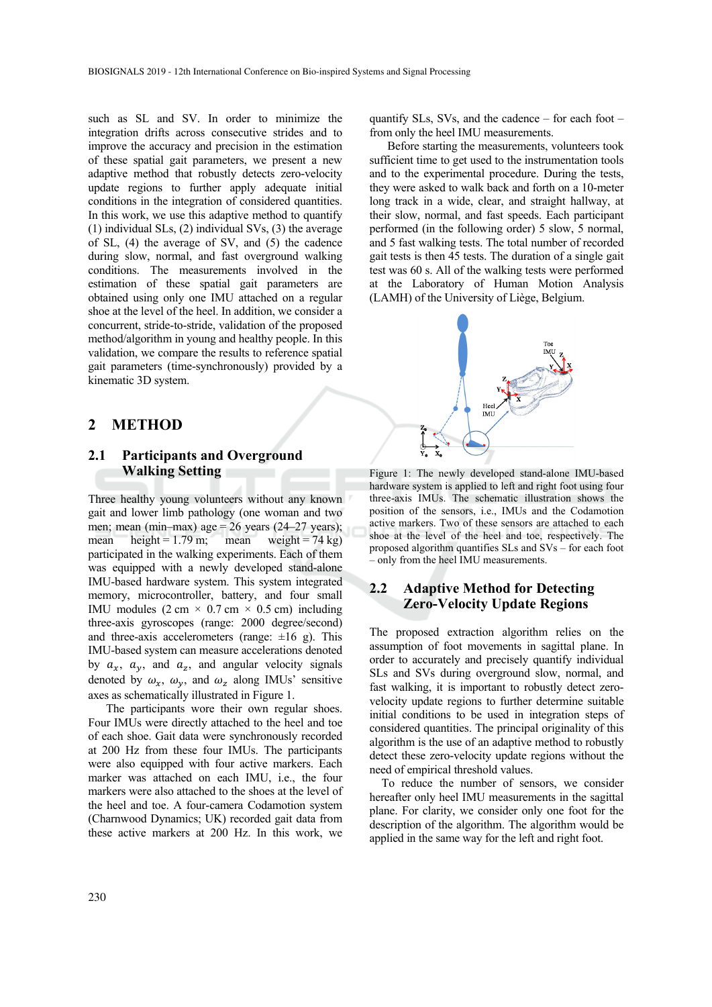such as SL and SV. In order to minimize the integration drifts across consecutive strides and to improve the accuracy and precision in the estimation of these spatial gait parameters, we present a new adaptive method that robustly detects zero-velocity update regions to further apply adequate initial conditions in the integration of considered quantities. In this work, we use this adaptive method to quantify (1) individual SLs, (2) individual SVs, (3) the average of SL, (4) the average of SV, and (5) the cadence during slow, normal, and fast overground walking conditions. The measurements involved in the estimation of these spatial gait parameters are obtained using only one IMU attached on a regular shoe at the level of the heel. In addition, we consider a concurrent, stride-to-stride, validation of the proposed method/algorithm in young and healthy people. In this validation, we compare the results to reference spatial gait parameters (time-synchronously) provided by a kinematic 3D system.

#### **2 METHOD**

#### **2.1 Participants and Overground Walking Setting**

Three healthy young volunteers without any known gait and lower limb pathology (one woman and two men; mean (min–max) age =  $26$  years (24–27 years); mean height =  $1.79$  m; mean weight =  $74$  kg) participated in the walking experiments. Each of them was equipped with a newly developed stand-alone IMU-based hardware system. This system integrated memory, microcontroller, battery, and four small IMU modules  $(2 \text{ cm} \times 0.7 \text{ cm} \times 0.5 \text{ cm})$  including three-axis gyroscopes (range: 2000 degree/second) and three-axis accelerometers (range:  $\pm 16$  g). This IMU-based system can measure accelerations denoted by  $a_x$ ,  $a_y$ , and  $a_z$ , and angular velocity signals denoted by  $\omega_x$ ,  $\omega_y$ , and  $\omega_z$  along IMUs' sensitive axes as schematically illustrated in Figure 1.

The participants wore their own regular shoes. Four IMUs were directly attached to the heel and toe of each shoe. Gait data were synchronously recorded at 200 Hz from these four IMUs. The participants were also equipped with four active markers. Each marker was attached on each IMU, i.e., the four markers were also attached to the shoes at the level of the heel and toe. A four-camera Codamotion system (Charnwood Dynamics; UK) recorded gait data from these active markers at 200 Hz. In this work, we quantify SLs, SVs, and the cadence – for each foot – from only the heel IMU measurements.

Before starting the measurements, volunteers took sufficient time to get used to the instrumentation tools and to the experimental procedure. During the tests, they were asked to walk back and forth on a 10-meter long track in a wide, clear, and straight hallway, at their slow, normal, and fast speeds. Each participant performed (in the following order) 5 slow, 5 normal, and 5 fast walking tests. The total number of recorded gait tests is then 45 tests. The duration of a single gait test was 60 s. All of the walking tests were performed at the Laboratory of Human Motion Analysis (LAMH) of the University of Liège, Belgium.



Figure 1: The newly developed stand-alone IMU-based hardware system is applied to left and right foot using four three-axis IMUs. The schematic illustration shows the position of the sensors, i.e., IMUs and the Codamotion active markers. Two of these sensors are attached to each shoe at the level of the heel and toe, respectively. The proposed algorithm quantifies SLs and SVs – for each foot – only from the heel IMU measurements.

#### **2.2 Adaptive Method for Detecting Zero-Velocity Update Regions**

The proposed extraction algorithm relies on the assumption of foot movements in sagittal plane. In order to accurately and precisely quantify individual SLs and SVs during overground slow, normal, and fast walking, it is important to robustly detect zerovelocity update regions to further determine suitable initial conditions to be used in integration steps of considered quantities. The principal originality of this algorithm is the use of an adaptive method to robustly detect these zero-velocity update regions without the need of empirical threshold values.

To reduce the number of sensors, we consider hereafter only heel IMU measurements in the sagittal plane. For clarity, we consider only one foot for the description of the algorithm. The algorithm would be applied in the same way for the left and right foot.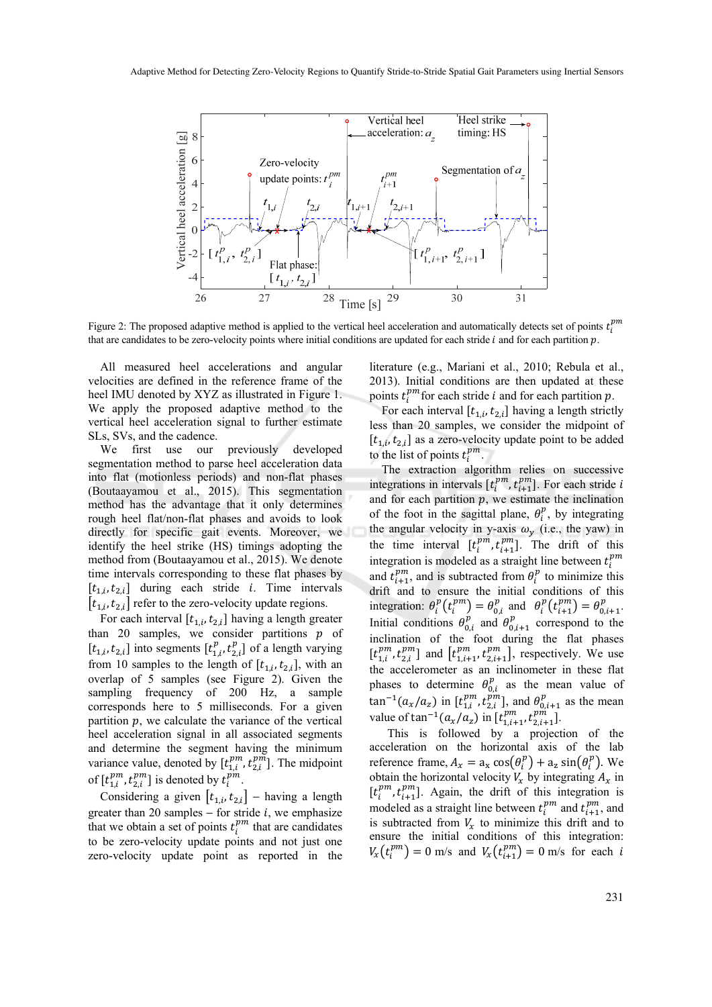

Figure 2: The proposed adaptive method is applied to the vertical heel acceleration and automatically detects set of points  $t_i^{pm}$ that are candidates to be zero-velocity points where initial conditions are updated for each stride  $i$  and for each partition  $p$ .

All measured heel accelerations and angular velocities are defined in the reference frame of the heel IMU denoted by XYZ as illustrated in Figure 1. We apply the proposed adaptive method to the vertical heel acceleration signal to further estimate SLs, SVs, and the cadence.

We first use our previously developed segmentation method to parse heel acceleration data into flat (motionless periods) and non-flat phases (Boutaayamou et al., 2015). This segmentation method has the advantage that it only determines rough heel flat/non-flat phases and avoids to look directly for specific gait events. Moreover, we identify the heel strike (HS) timings adopting the method from (Boutaayamou et al., 2015). We denote time intervals corresponding to these flat phases by  $[t_{1,i}, t_{2,i}]$  during each stride *i*. Time intervals  $[t_{1,i}, t_{2,i}]$  refer to the zero-velocity update regions.

For each interval  $[t_{1,i}, t_{2,i}]$  having a length greater than 20 samples, we consider partitions  $p$  of  $[t_{1,i}, t_{2,i}]$  into segments  $[t_{1,i}^p, t_{2,i}^p]$  of a length varying from 10 samples to the length of  $[t_{1,i}, t_{2,i}]$ , with an overlap of 5 samples (see Figure 2). Given the sampling frequency of 200 Hz, a sample corresponds here to 5 milliseconds. For a given partition  $p$ , we calculate the variance of the vertical heel acceleration signal in all associated segments and determine the segment having the minimum variance value, denoted by  $[t_{1,i}^{pm}, t_{2,i}^{pm}]$ . The midpoint of  $[t_{1,i}^{pm}, t_{2,i}^{pm}]$  is denoted by  $t_i^{pm}$ .

Considering a given  $[t_{1,i}, t_{2,i}]$  – having a length greater than 20 samples  $-$  for stride  $i$ , we emphasize that we obtain a set of points  $t_i^{pm}$  that are candidates to be zero-velocity update points and not just one zero-velocity update point as reported in the

literature (e.g., Mariani et al., 2010; Rebula et al., 2013). Initial conditions are then updated at these points  $t_i^{pm}$  for each stride *i* and for each partition *p*.

For each interval  $[t_{1,i}, t_{2,i}]$  having a length strictly less than 20 samples, we consider the midpoint of  $[t_{1,i}, t_{2,i}]$  as a zero-velocity update point to be added to the list of points  $t_i^{pm}$ .

The extraction algorithm relies on successive integrations in intervals  $[t_i^{pm}, t_{i+1}^{pm}]$ . For each stride *i* and for each partition  $p$ , we estimate the inclination of the foot in the sagittal plane,  $\theta_i^p$ , by integrating the angular velocity in y-axis  $\omega_y$  (i.e., the yaw) in the time interval  $[t_i^{pm}, t_{i+1}^{pm}]$ . The drift of this integration is modeled as a straight line between  $t_i^{pm}$ and  $t^{pm}_{i+1}$ , and is subtracted from  $\theta_i^p$  to minimize this drift and to ensure the initial conditions of this integration:  $\theta_i^p(t_i^{pm}) = \theta_{0,i}^p$  and  $\theta_i^p(t_{i+1}^{pm}) = \theta_{0,i+1}^p$ . Initial conditions  $\theta_{0,i}^p$  and  $\theta_{0,i+1}^p$  correspond to the inclination of the foot during the flat phases  $[t_{1,i}^{pm}, t_{2,i}^{pm}]$  and  $[t_{1,i+1}^{pm}, t_{2,i+1}^{pm}]$ , respectively. We use the accelerometer as an inclinometer in these flat phases to determine  $\theta_{0,i}^p$  as the mean value of  $\tan^{-1}(a_x/a_z)$  in  $[t_{1,i}^{pm}, t_{2,i}^{pm}]$ , and  $\theta_{0,i+1}^p$  as the mean value of  $\tan^{-1}(a_x/a_z)$  in  $[t_{1,i+1}^{pm}, t_{2,i+1}^{pm}]$ .

This is followed by a projection of the acceleration on the horizontal axis of the lab reference frame,  $A_x = a_x \cos(\theta_i^p) + a_z \sin(\theta_i^p)$ . We obtain the horizontal velocity  $V_x$  by integrating  $A_x$  in  $[t_i^{pm}, t_{i+1}^{pm}]$ . Again, the drift of this integration is modeled as a straight line between  $t_i^{pm}$  and  $t_{i+1}^{pm}$ , and is subtracted from  $V<sub>x</sub>$  to minimize this drift and to ensure the initial conditions of this integration:  $V_x(t_i^{pm}) = 0$  m/s and  $V_x(t_{i+1}^{pm}) = 0$  m/s for each i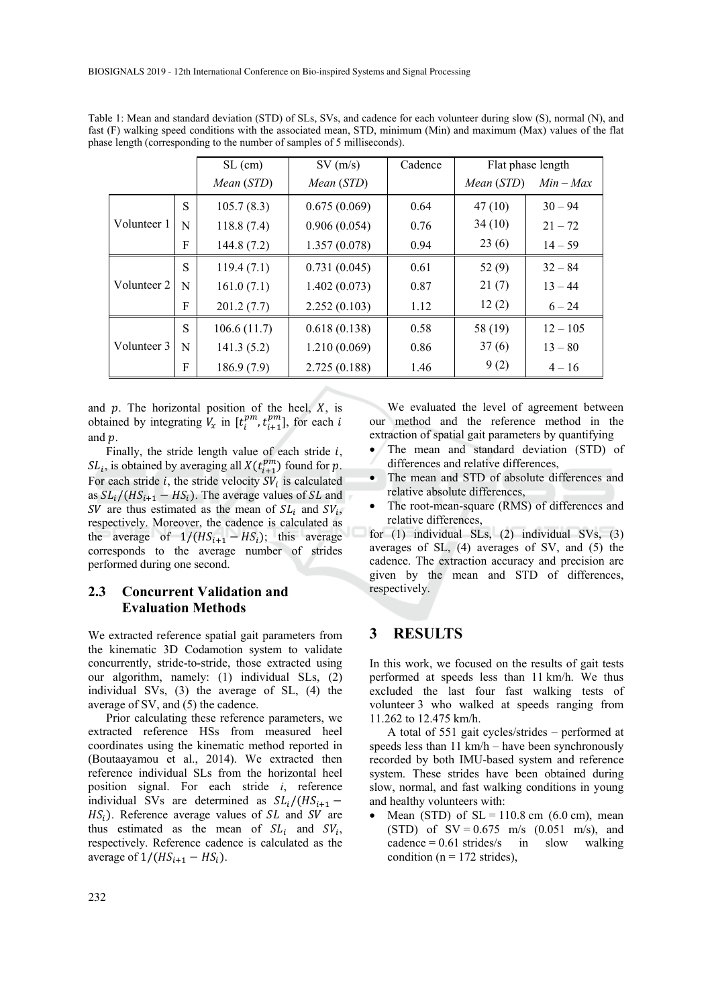|             |   | $SL$ (cm)   | SV(m/s)      | Cadence | Flat phase length |             |
|-------------|---|-------------|--------------|---------|-------------------|-------------|
|             |   | Mean (STD)  | Mean (STD)   |         | Mean (STD)        | $Min - Max$ |
| Volunteer 1 | S | 105.7(8.3)  | 0.675(0.069) | 0.64    | 47(10)            | $30 - 94$   |
|             | N | 118.8(7.4)  | 0.906(0.054) | 0.76    | 34(10)            | $21 - 72$   |
|             | F | 144.8(7.2)  | 1.357(0.078) | 0.94    | 23(6)             | $14 - 59$   |
| Volunteer 2 | S | 119.4(7.1)  | 0.731(0.045) | 0.61    | 52(9)             | $32 - 84$   |
|             | N | 161.0(7.1)  | 1.402(0.073) | 0.87    | 21(7)             | $13 - 44$   |
|             | F | 201.2(7.7)  | 2.252(0.103) | 1.12    | 12(2)             | $6 - 24$    |
| Volunteer 3 | S | 106.6(11.7) | 0.618(0.138) | 0.58    | 58 (19)           | $12 - 105$  |
|             | N | 141.3(5.2)  | 1.210(0.069) | 0.86    | 37(6)             | $13 - 80$   |
|             | F | 186.9(7.9)  | 2.725(0.188) | 1.46    | 9(2)              | $4 - 16$    |

Table 1: Mean and standard deviation (STD) of SLs, SVs, and cadence for each volunteer during slow (S), normal (N), and fast (F) walking speed conditions with the associated mean, STD, minimum (Min) and maximum (Max) values of the flat phase length (corresponding to the number of samples of 5 milliseconds).

and  $p$ . The horizontal position of the heel,  $X$ , is obtained by integrating  $V_x$  in  $[t_i^{pm}, t_{i+1}^{pm}]$ , for each i and  $p$ .

Finally, the stride length value of each stride  $i$ ,  $SL_i$ , is obtained by averaging all  $X(t^{pm}_{i+1})$  found for  $p$ . For each stride  $i$ , the stride velocity  $SV_i$  is calculated as  $SL_i/(HS_{i+1} - HS_i)$ . The average values of SL and SV are thus estimated as the mean of  $SL_i$  and  $SV_i$ , respectively. Moreover, the cadence is calculated as the average of  $1/(HS_{i+1} - HS_i)$ ; this average corresponds to the average number of strides performed during one second.

#### **2.3 Concurrent Validation and Evaluation Methods**

We extracted reference spatial gait parameters from the kinematic 3D Codamotion system to validate concurrently, stride-to-stride, those extracted using our algorithm, namely: (1) individual SLs, (2) individual SVs, (3) the average of SL, (4) the average of SV, and (5) the cadence.

Prior calculating these reference parameters, we extracted reference HSs from measured heel coordinates using the kinematic method reported in (Boutaayamou et al., 2014). We extracted then reference individual SLs from the horizontal heel position signal. For each stride *i*, reference individual SVs are determined as  $SL_i/(HS_{i+1} HS_i$ ). Reference average values of SL and SV are thus estimated as the mean of  $SL_i$  and  $SV_i$ , respectively. Reference cadence is calculated as the average of  $1/(HS_{i+1} - HS_i)$ .

We evaluated the level of agreement between our method and the reference method in the extraction of spatial gait parameters by quantifying

- The mean and standard deviation (STD) of differences and relative differences,
- The mean and STD of absolute differences and relative absolute differences,
- The root-mean-square (RMS) of differences and relative differences,

for (1) individual SLs, (2) individual SVs, (3) averages of SL, (4) averages of SV, and (5) the cadence. The extraction accuracy and precision are given by the mean and STD of differences, respectively.

#### **3 RESULTS**

In this work, we focused on the results of gait tests performed at speeds less than 11 km/h. We thus excluded the last four fast walking tests of volunteer 3 who walked at speeds ranging from 11.262 to 12.475 km/h.

A total of 551 gait cycles/strides – performed at speeds less than 11 km/h – have been synchronously recorded by both IMU-based system and reference system. These strides have been obtained during slow, normal, and fast walking conditions in young and healthy volunteers with:

Mean (STD) of  $SL = 110.8$  cm (6.0 cm), mean (STD) of  $SV = 0.675$  m/s  $(0.051$  m/s), and  $cadence = 0.61$  strides/s in slow walking condition ( $n = 172$  strides),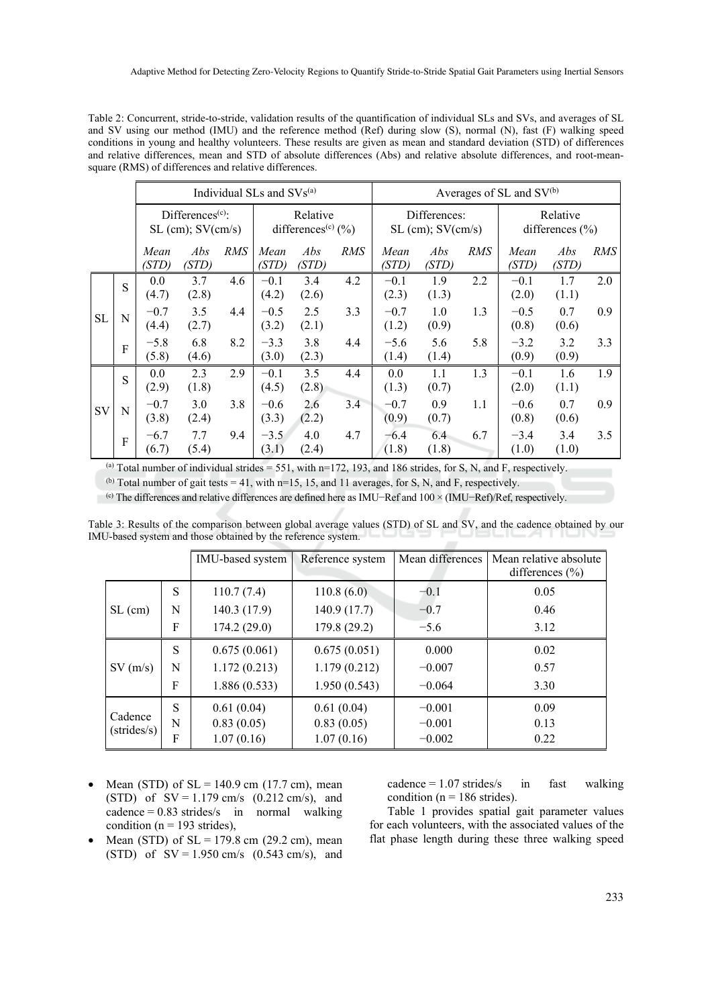Table 2: Concurrent, stride-to-stride, validation results of the quantification of individual SLs and SVs, and averages of SL and SV using our method (IMU) and the reference method (Ref) during slow (S), normal (N), fast (F) walking speed conditions in young and healthy volunteers. These results are given as mean and standard deviation (STD) of differences and relative differences, mean and STD of absolute differences (Abs) and relative absolute differences, and root-meansquare (RMS) of differences and relative differences.

|           |   |                                                         |              |     | Individual SLs and SVs <sup>(a)</sup>                  |              |     | Averages of SL and SV <sup>(b)</sup>    |              |     |                                 |              |     |
|-----------|---|---------------------------------------------------------|--------------|-----|--------------------------------------------------------|--------------|-----|-----------------------------------------|--------------|-----|---------------------------------|--------------|-----|
|           |   | Differences <sup>(c)</sup> :<br>$SL (cm)$ ; $SV (cm/s)$ |              |     | Relative<br>differences <sup>(c)</sup> $(\frac{9}{6})$ |              |     | Differences:<br>$SL (cm)$ ; $SV (cm/s)$ |              |     | Relative<br>differences $(\% )$ |              |     |
|           |   | Mean<br>(STD)                                           | Abs<br>(STD) | RMS | Mean<br>(STD)                                          | Abs<br>(STD) | RMS | Mean<br>(STD)                           | Abs<br>(STD) | RMS | Mean<br>(STD)                   | Abs<br>(STD) | RMS |
| <b>SL</b> | S | 0.0<br>(4.7)                                            | 3.7<br>(2.8) | 4.6 | $-0.1$<br>(4.2)                                        | 3.4<br>(2.6) | 4.2 | $-0.1$<br>(2.3)                         | 1.9<br>(1.3) | 2.2 | $-0.1$<br>(2.0)                 | 1.7<br>(1.1) | 2.0 |
|           | N | $-0.7$<br>(4.4)                                         | 3.5<br>(2.7) | 4.4 | $-0.5$<br>(3.2)                                        | 2.5<br>(2.1) | 3.3 | $-0.7$<br>(1.2)                         | 1.0<br>(0.9) | 1.3 | $-0.5$<br>(0.8)                 | 0.7<br>(0.6) | 0.9 |
|           | F | $-5.8$<br>(5.8)                                         | 6.8<br>(4.6) | 8.2 | $-3.3$<br>(3.0)                                        | 3.8<br>(2.3) | 4.4 | $-5.6$<br>(1.4)                         | 5.6<br>(1.4) | 5.8 | $-3.2$<br>(0.9)                 | 3.2<br>(0.9) | 3.3 |
| <b>SV</b> | S | 0.0<br>(2.9)                                            | 2.3<br>(1.8) | 2.9 | $-0.1$<br>(4.5)                                        | 3.5<br>(2.8) | 4.4 | 0.0<br>(1.3)                            | 1.1<br>(0.7) | 1.3 | $-0.1$<br>(2.0)                 | 1.6<br>(1.1) | 1.9 |
|           | N | $-0.7$<br>(3.8)                                         | 3.0<br>(2.4) | 3.8 | $-0.6$<br>(3.3)                                        | 2.6<br>(2.2) | 3.4 | $-0.7$<br>(0.9)                         | 0.9<br>(0.7) | 1.1 | $-0.6$<br>(0.8)                 | 0.7<br>(0.6) | 0.9 |
|           | F | $-6.7$<br>(6.7)                                         | 7.7<br>(5.4) | 9.4 | $-3.5$<br>(3.1)                                        | 4.0<br>(2.4) | 4.7 | $-6.4$<br>(1.8)                         | 6.4<br>(1.8) | 6.7 | $-3.4$<br>(1.0)                 | 3.4<br>(1.0) | 3.5 |

(a) Total number of individual strides = 551, with  $n=172$ , 193, and 186 strides, for S, N, and F, respectively.

(b) Total number of gait tests = 41, with  $n=15$ , 15, and 11 averages, for S, N, and F, respectively.

(c) The differences and relative differences are defined here as IMU−Ref and 100 × (IMU−Ref)/Ref, respectively.

|                                 |   | IMU-based system | Reference system | Mean differences | Mean relative absolute<br>differences $(\% )$ |
|---------------------------------|---|------------------|------------------|------------------|-----------------------------------------------|
| $SL$ (cm)                       | S | 110.7(7.4)       | 110.8(6.0)       | $-0.1$           | 0.05                                          |
|                                 | N | 140.3 (17.9)     | 140.9 (17.7)     | $-0.7$           | 0.46                                          |
|                                 | F | 174.2(29.0)      | 179.8 (29.2)     | $-5.6$           | 3.12                                          |
| $SV$ (m/s)                      | S | 0.675(0.061)     | 0.675(0.051)     | 0.000            | 0.02                                          |
|                                 | N | 1.172(0.213)     | 1.179(0.212)     | $-0.007$         | 0.57                                          |
|                                 | F | 1.886(0.533)     | 1.950(0.543)     | $-0.064$         | 3.30                                          |
| Cadence<br>$(\text{strides/s})$ | S | 0.61(0.04)       | 0.61(0.04)       | $-0.001$         | 0.09                                          |
|                                 | N | 0.83(0.05)       | 0.83(0.05)       | $-0.001$         | 0.13                                          |
|                                 | F | 1.07(0.16)       | 1.07(0.16)       | $-0.002$         | 0.22                                          |

Table 3: Results of the comparison between global average values (STD) of SL and SV, and the cadence obtained by our IMU-based system and those obtained by the reference system.

- Mean (STD) of  $SL = 140.9$  cm (17.7 cm), mean (STD) of  $SV = 1.179$  cm/s  $(0.212$  cm/s), and  $cadence = 0.83$  strides/s in normal walking condition ( $n = 193$  strides),
- Mean (STD) of  $SL = 179.8$  cm (29.2 cm), mean (STD) of  $SV = 1.950 \text{ cm/s}$  (0.543 cm/s), and

 $cadence = 1.07$  strides/s in fast walking condition ( $n = 186$  strides).

Table 1 provides spatial gait parameter values for each volunteers, with the associated values of the flat phase length during these three walking speed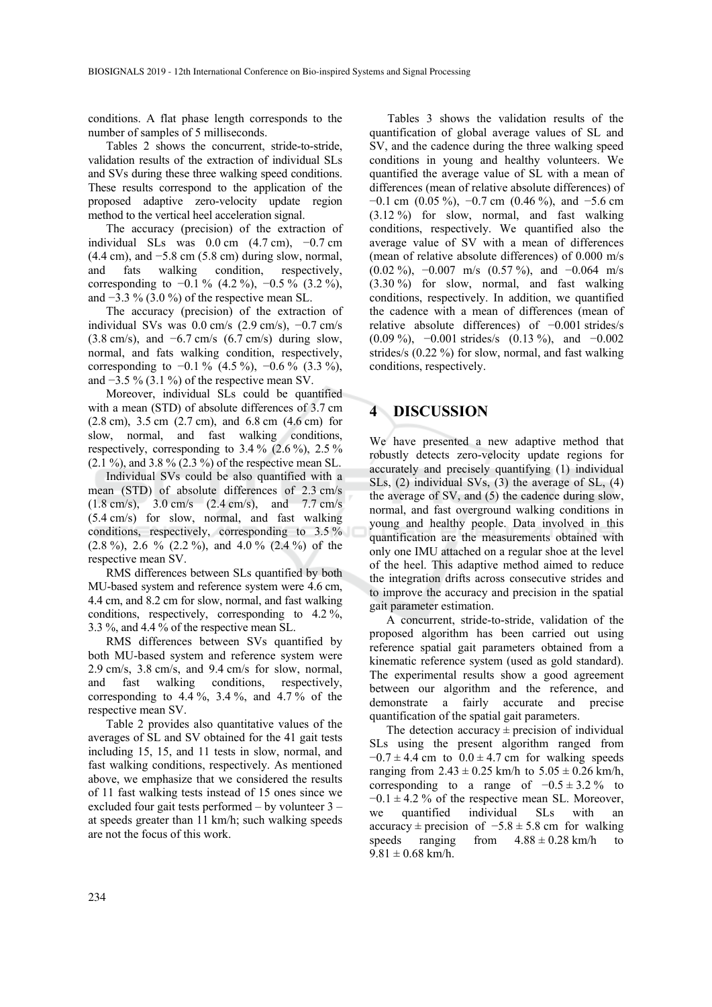conditions. A flat phase length corresponds to the number of samples of 5 milliseconds.

Tables 2 shows the concurrent, stride-to-stride, validation results of the extraction of individual SLs and SVs during these three walking speed conditions. These results correspond to the application of the proposed adaptive zero-velocity update region method to the vertical heel acceleration signal.

The accuracy (precision) of the extraction of individual SLs was  $0.0 \text{ cm}$  (4.7 cm),  $-0.7 \text{ cm}$  $(4.4 \text{ cm})$ , and  $-5.8 \text{ cm}$  (5.8 cm) during slow, normal, and fats walking condition, respectively, corresponding to  $-0.1\%$  (4.2 %),  $-0.5\%$  (3.2 %), and  $-3.3\%$  (3.0 %) of the respective mean SL.

The accuracy (precision) of the extraction of individual SVs was  $0.0$  cm/s  $(2.9 \text{ cm/s})$ ,  $-0.7 \text{ cm/s}$ (3.8 cm/s), and −6.7 cm/s (6.7 cm/s) during slow, normal, and fats walking condition, respectively, corresponding to  $-0.1\%$  (4.5 %),  $-0.6\%$  (3.3 %), and  $-3.5\%$  (3.1 %) of the respective mean SV.

Moreover, individual SLs could be quantified with a mean (STD) of absolute differences of 3.7 cm (2.8 cm), 3.5 cm (2.7 cm), and 6.8 cm (4.6 cm) for slow, normal, and fast walking conditions, respectively, corresponding to  $3.4\%$  (2.6%),  $2.5\%$  $(2.1 \%)$ , and 3.8 %  $(2.3 \%)$  of the respective mean SL.

Individual SVs could be also quantified with a mean (STD) of absolute differences of 2.3 cm/s (1.8 cm/s), 3.0 cm/s (2.4 cm/s), and 7.7 cm/s (5.4 cm/s) for slow, normal, and fast walking conditions, respectively, corresponding to 3.5 %  $(2.8\%)$ ,  $2.6\%$   $(2.2\%)$ , and  $4.0\%$   $(2.4\%)$  of the respective mean SV.

RMS differences between SLs quantified by both MU-based system and reference system were 4.6 cm, 4.4 cm, and 8.2 cm for slow, normal, and fast walking conditions, respectively, corresponding to 4.2 %, 3.3 %, and 4.4 % of the respective mean SL.

RMS differences between SVs quantified by both MU-based system and reference system were 2.9 cm/s, 3.8 cm/s, and 9.4 cm/s for slow, normal, and fast walking conditions, respectively, corresponding to  $4.\overline{4}$  %,  $3.\overline{4}$  %, and  $4.\overline{7}$  % of the respective mean SV.

Table 2 provides also quantitative values of the averages of SL and SV obtained for the 41 gait tests including 15, 15, and 11 tests in slow, normal, and fast walking conditions, respectively. As mentioned above, we emphasize that we considered the results of 11 fast walking tests instead of 15 ones since we excluded four gait tests performed – by volunteer 3 – at speeds greater than 11 km/h; such walking speeds are not the focus of this work.

Tables 3 shows the validation results of the quantification of global average values of SL and SV, and the cadence during the three walking speed conditions in young and healthy volunteers. We quantified the average value of SL with a mean of differences (mean of relative absolute differences) of  $-0.1$  cm  $(0.05\%), -0.7$  cm  $(0.46\%),$  and  $-5.6$  cm (3.12 %) for slow, normal, and fast walking conditions, respectively. We quantified also the average value of SV with a mean of differences (mean of relative absolute differences) of 0.000 m/s (0.02 %), −0.007 m/s (0.57 %), and −0.064 m/s (3.30 %) for slow, normal, and fast walking conditions, respectively. In addition, we quantified the cadence with a mean of differences (mean of relative absolute differences) of −0.001 strides/s (0.09 %), −0.001 strides/s (0.13 %), and −0.002 strides/s (0.22 %) for slow, normal, and fast walking conditions, respectively.

### **4 DISCUSSION**

We have presented a new adaptive method that robustly detects zero-velocity update regions for accurately and precisely quantifying (1) individual SLs, (2) individual SVs, (3) the average of SL, (4) the average of SV, and (5) the cadence during slow, normal, and fast overground walking conditions in young and healthy people. Data involved in this quantification are the measurements obtained with only one IMU attached on a regular shoe at the level of the heel. This adaptive method aimed to reduce the integration drifts across consecutive strides and to improve the accuracy and precision in the spatial gait parameter estimation.

A concurrent, stride-to-stride, validation of the proposed algorithm has been carried out using reference spatial gait parameters obtained from a kinematic reference system (used as gold standard). The experimental results show a good agreement between our algorithm and the reference, and demonstrate a fairly accurate and precise quantification of the spatial gait parameters.

The detection accuracy  $\pm$  precision of individual SLs using the present algorithm ranged from  $-0.7 \pm 4.4$  cm to  $0.0 \pm 4.7$  cm for walking speeds ranging from  $2.43 \pm 0.25$  km/h to  $5.05 \pm 0.26$  km/h, corresponding to a range of  $-0.5 \pm 3.2 \%$  to  $-0.1 \pm 4.2$  % of the respective mean SL. Moreover, we quantified individual SLs with an  $accuracy \pm precision$  of  $-5.8 \pm 5.8$  cm for walking speeds ranging from  $4.88 \pm 0.28$  km/h to  $9.81 \pm 0.68$  km/h.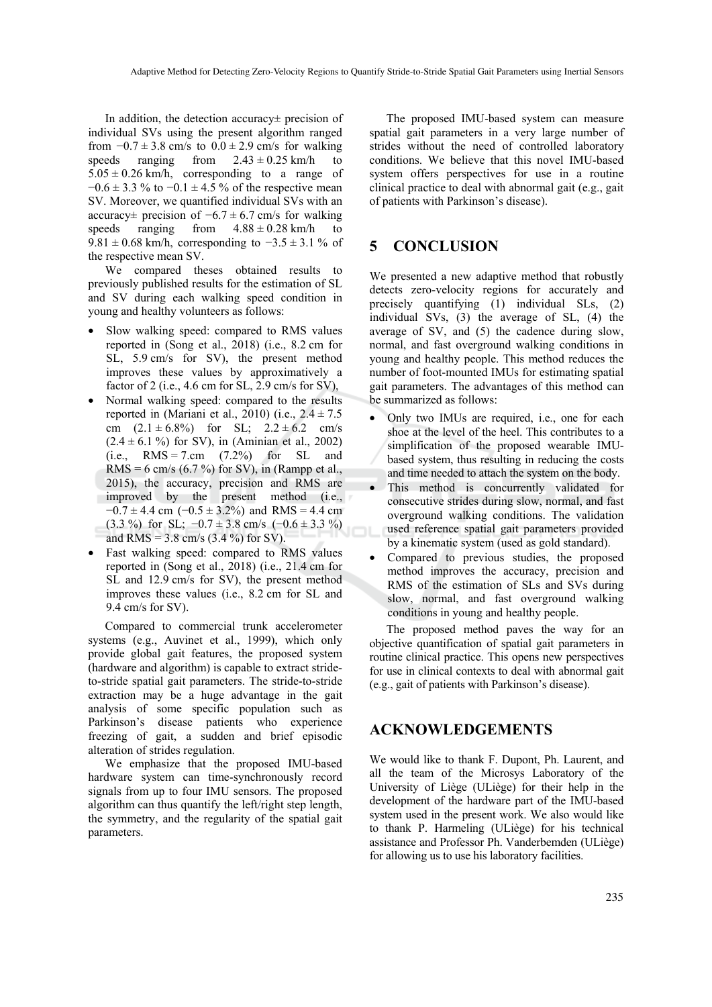In addition, the detection accuracy± precision of individual SVs using the present algorithm ranged from  $-0.7 \pm 3.8$  cm/s to  $0.0 \pm 2.9$  cm/s for walking speeds ranging from  $2.43 \pm 0.25$  km/h to  $5.05 \pm 0.26$  km/h, corresponding to a range of  $-0.6 \pm 3.3$  % to  $-0.1 \pm 4.5$  % of the respective mean SV. Moreover, we quantified individual SVs with an accuracy± precision of  $-6.7 \pm 6.7$  cm/s for walking speeds ranging from  $4.88 \pm 0.28$  km/h to 9.81 ± 0.68 km/h, corresponding to  $-3.5 \pm 3.1$  % of the respective mean SV.

We compared theses obtained results to previously published results for the estimation of SL and SV during each walking speed condition in young and healthy volunteers as follows:

- Slow walking speed: compared to RMS values reported in (Song et al., 2018) (i.e., 8.2 cm for SL, 5.9 cm/s for SV), the present method improves these values by approximatively a factor of 2 (i.e., 4.6 cm for SL, 2.9 cm/s for SV),
- Normal walking speed: compared to the results reported in (Mariani et al., 2010) (i.e.,  $2.4 \pm 7.5$ cm  $(2.1 \pm 6.8\%)$  for SL;  $2.2 \pm 6.2$  cm/s  $(2.4 \pm 6.1\%)$  for SV), in (Aminian et al., 2002) (i.e.,  $RMS = 7.cm$  (7.2%) for SL and RMS = 6 cm/s (6.7 %) for SV), in (Rampp et al., 2015), the accuracy, precision and RMS are improved by the present method (i.e.,  $-0.7 \pm 4.4$  cm  $(-0.5 \pm 3.2\%)$  and RMS = 4.4 cm (3.3 %) for SL;  $-0.7 \pm 3.8$  cm/s  $(-0.6 \pm 3.3$  %) and RMS =  $3.8 \text{ cm/s}$  ( $3.4 \%$ ) for SV).
- Fast walking speed: compared to RMS values reported in (Song et al., 2018) (i.e., 21.4 cm for SL and 12.9 cm/s for SV), the present method improves these values (i.e., 8.2 cm for SL and 9.4 cm/s for SV).

Compared to commercial trunk accelerometer systems (e.g., Auvinet et al., 1999), which only provide global gait features, the proposed system (hardware and algorithm) is capable to extract strideto-stride spatial gait parameters. The stride-to-stride extraction may be a huge advantage in the gait analysis of some specific population such as Parkinson's disease patients who experience freezing of gait, a sudden and brief episodic alteration of strides regulation.

We emphasize that the proposed IMU-based hardware system can time-synchronously record signals from up to four IMU sensors. The proposed algorithm can thus quantify the left/right step length, the symmetry, and the regularity of the spatial gait parameters.

The proposed IMU-based system can measure spatial gait parameters in a very large number of strides without the need of controlled laboratory conditions. We believe that this novel IMU-based system offers perspectives for use in a routine clinical practice to deal with abnormal gait (e.g., gait of patients with Parkinson's disease).

## **5 CONCLUSION**

We presented a new adaptive method that robustly detects zero-velocity regions for accurately and precisely quantifying (1) individual SLs, (2) individual SVs, (3) the average of SL, (4) the average of SV, and (5) the cadence during slow, normal, and fast overground walking conditions in young and healthy people. This method reduces the number of foot-mounted IMUs for estimating spatial gait parameters. The advantages of this method can be summarized as follows:

- Only two IMUs are required, i.e., one for each shoe at the level of the heel. This contributes to a simplification of the proposed wearable IMUbased system, thus resulting in reducing the costs and time needed to attach the system on the body.
- This method is concurrently validated for consecutive strides during slow, normal, and fast overground walking conditions. The validation used reference spatial gait parameters provided by a kinematic system (used as gold standard).
- Compared to previous studies, the proposed method improves the accuracy, precision and RMS of the estimation of SLs and SVs during slow, normal, and fast overground walking conditions in young and healthy people.

The proposed method paves the way for an objective quantification of spatial gait parameters in routine clinical practice. This opens new perspectives for use in clinical contexts to deal with abnormal gait (e.g., gait of patients with Parkinson's disease).

#### **ACKNOWLEDGEMENTS**

We would like to thank F. Dupont, Ph. Laurent, and all the team of the Microsys Laboratory of the University of Liège (ULiège) for their help in the development of the hardware part of the IMU-based system used in the present work. We also would like to thank P. Harmeling (ULiège) for his technical assistance and Professor Ph. Vanderbemden (ULiège) for allowing us to use his laboratory facilities.